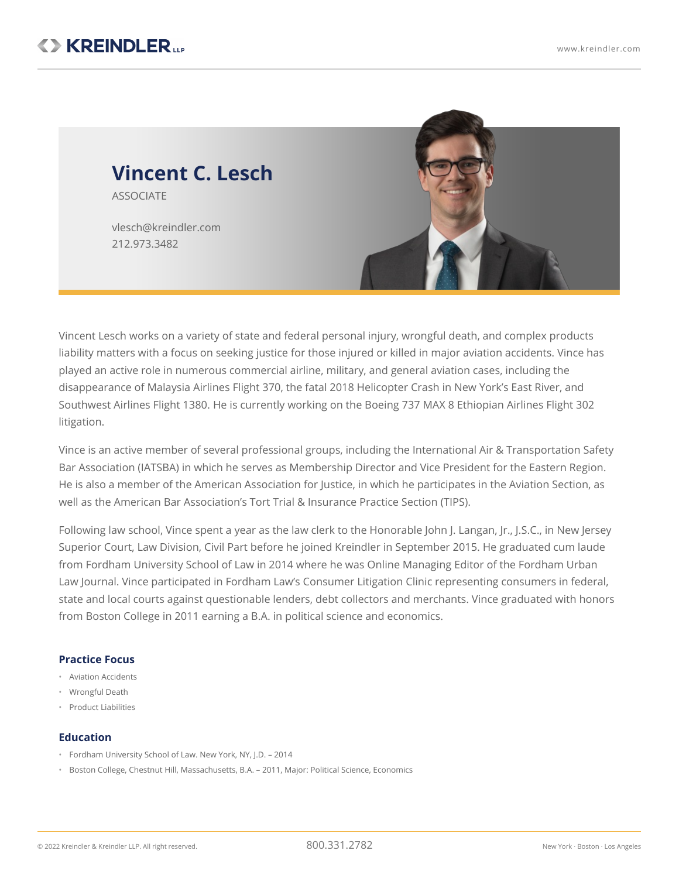

Vincent Lesch works on a variety of state and federal personal injury, wrongful death, and complex products liability matters with a focus on seeking justice for those injured or killed in major aviation accidents. Vince has played an active role in numerous commercial airline, military, and general aviation cases, including the disappearance of Malaysia Airlines Flight 370, the fatal 2018 Helicopter Crash in New York's East River, and Southwest Airlines Flight 1380. He is currently working on the Boeing 737 MAX 8 Ethiopian Airlines Flight 302 litigation.

Vince is an active member of several professional groups, including the International Air & Transportation Safety Bar Association (IATSBA) in which he serves as Membership Director and Vice President for the Eastern Region. He is also a member of the American Association for Justice, in which he participates in the Aviation Section, as well as the American Bar Association's Tort Trial & Insurance Practice Section (TIPS).

Following law school, Vince spent a year as the law clerk to the Honorable John J. Langan, Jr., J.S.C., in New Jersey Superior Court, Law Division, Civil Part before he joined Kreindler in September 2015. He graduated cum laude from Fordham University School of Law in 2014 where he was Online Managing Editor of the Fordham Urban Law Journal. Vince participated in Fordham Law's Consumer Litigation Clinic representing consumers in federal, state and local courts against questionable lenders, debt collectors and merchants. Vince graduated with honors from Boston College in 2011 earning a B.A. in political science and economics.

## **Practice Focus**

- Aviation Accidents
- Wrongful Death
- Product Liabilities

## **Education**

- Fordham University School of Law. New York, NY, J.D. 2014
- Boston College, Chestnut Hill, Massachusetts, B.A. 2011, Major: Political Science, Economics